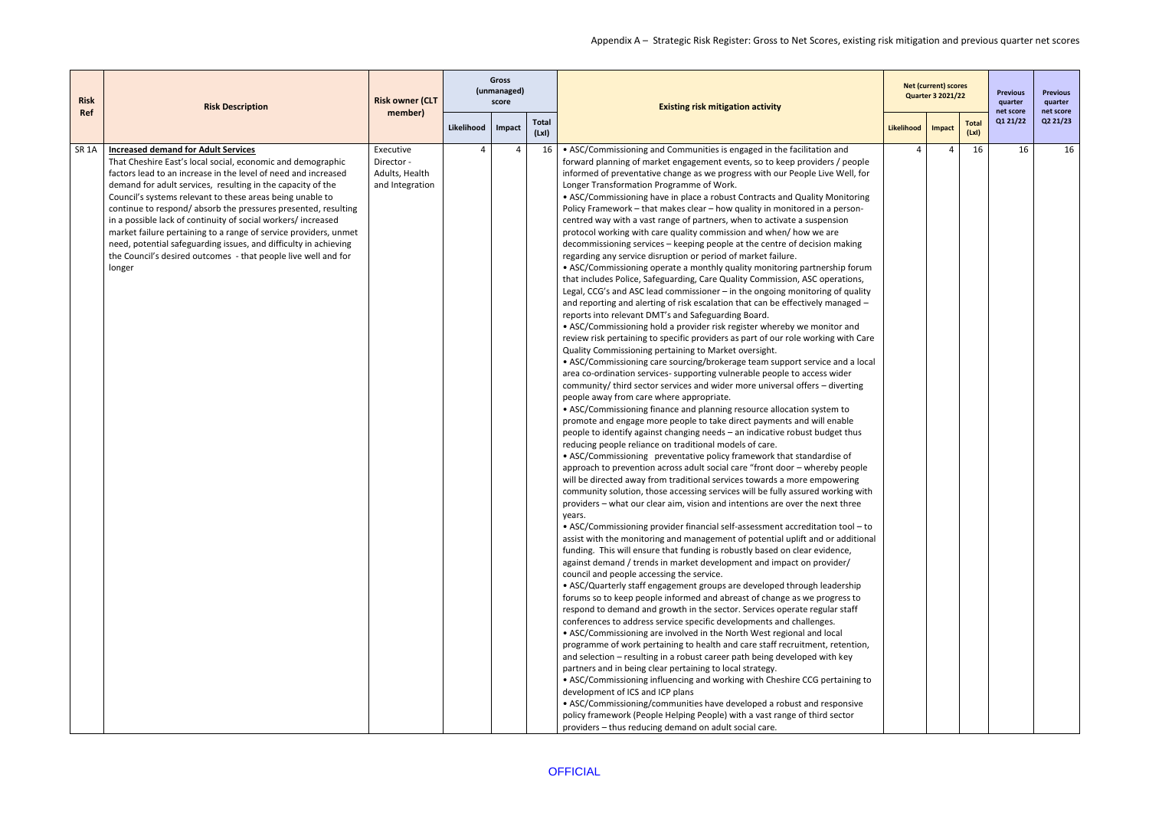| <b>Risk</b>  | <b>Risk Description</b>                                                                                                                                                                                                                                                                                                                                                                                                                                                                                                                                                                                                                                       | <b>Risk owner (CLT</b>                                       |            | <b>Gross</b><br>(unmanaged)<br>score |                       | <b>Existing risk mitigation activity</b>                                                                                                                                                                                                                                                                                                                                                                                                                                                                                                                                                                                                                                                                                                                                                                                                                                                                                                                                                                                                                                                                                                                                                                                                                                                                                                                                                                                                                                                                                                                                                                                                                                                                                                                                                                                                                                                                                                                                                                                                                                                                                                                                                                                                                                                                                                                                                                                                                                                                                                                                                                                                                                                                                                                                                                                                                                                                                                                                                                                                                                                                                                                                                                                                                                                                                                                                                                                                                                                                                                                                                                                                                                                                             |            | <b>Net (current) scores</b><br><b>Quarter 3 2021/22</b> |                       | <b>Previous</b><br>quarter | <b>Previous</b><br>quarter |
|--------------|---------------------------------------------------------------------------------------------------------------------------------------------------------------------------------------------------------------------------------------------------------------------------------------------------------------------------------------------------------------------------------------------------------------------------------------------------------------------------------------------------------------------------------------------------------------------------------------------------------------------------------------------------------------|--------------------------------------------------------------|------------|--------------------------------------|-----------------------|----------------------------------------------------------------------------------------------------------------------------------------------------------------------------------------------------------------------------------------------------------------------------------------------------------------------------------------------------------------------------------------------------------------------------------------------------------------------------------------------------------------------------------------------------------------------------------------------------------------------------------------------------------------------------------------------------------------------------------------------------------------------------------------------------------------------------------------------------------------------------------------------------------------------------------------------------------------------------------------------------------------------------------------------------------------------------------------------------------------------------------------------------------------------------------------------------------------------------------------------------------------------------------------------------------------------------------------------------------------------------------------------------------------------------------------------------------------------------------------------------------------------------------------------------------------------------------------------------------------------------------------------------------------------------------------------------------------------------------------------------------------------------------------------------------------------------------------------------------------------------------------------------------------------------------------------------------------------------------------------------------------------------------------------------------------------------------------------------------------------------------------------------------------------------------------------------------------------------------------------------------------------------------------------------------------------------------------------------------------------------------------------------------------------------------------------------------------------------------------------------------------------------------------------------------------------------------------------------------------------------------------------------------------------------------------------------------------------------------------------------------------------------------------------------------------------------------------------------------------------------------------------------------------------------------------------------------------------------------------------------------------------------------------------------------------------------------------------------------------------------------------------------------------------------------------------------------------------------------------------------------------------------------------------------------------------------------------------------------------------------------------------------------------------------------------------------------------------------------------------------------------------------------------------------------------------------------------------------------------------------------------------------------------------------------------------------------------------|------------|---------------------------------------------------------|-----------------------|----------------------------|----------------------------|
| Ref          |                                                                                                                                                                                                                                                                                                                                                                                                                                                                                                                                                                                                                                                               | member)                                                      | Likelihood | Impact                               | <b>Total</b><br>(LxI) |                                                                                                                                                                                                                                                                                                                                                                                                                                                                                                                                                                                                                                                                                                                                                                                                                                                                                                                                                                                                                                                                                                                                                                                                                                                                                                                                                                                                                                                                                                                                                                                                                                                                                                                                                                                                                                                                                                                                                                                                                                                                                                                                                                                                                                                                                                                                                                                                                                                                                                                                                                                                                                                                                                                                                                                                                                                                                                                                                                                                                                                                                                                                                                                                                                                                                                                                                                                                                                                                                                                                                                                                                                                                                                                      | Likelihood | Impact                                                  | <b>Total</b><br>(LxI) | net score<br>Q1 21/22      | net score<br>Q2 21/23      |
| <b>SR 1A</b> | <b>Increased demand for Adult Services</b><br>That Cheshire East's local social, economic and demographic<br>factors lead to an increase in the level of need and increased<br>demand for adult services, resulting in the capacity of the<br>Council's systems relevant to these areas being unable to<br>continue to respond/ absorb the pressures presented, resulting<br>in a possible lack of continuity of social workers/increased<br>market failure pertaining to a range of service providers, unmet<br>need, potential safeguarding issues, and difficulty in achieving<br>the Council's desired outcomes - that people live well and for<br>longer | Executive<br>Director -<br>Adults, Health<br>and Integration |            | Δ                                    | 16                    | • ASC/Commissioning and Communities is engaged in the facilitation and<br>forward planning of market engagement events, so to keep providers / people<br>informed of preventative change as we progress with our People Live Well, for<br>Longer Transformation Programme of Work.<br>• ASC/Commissioning have in place a robust Contracts and Quality Monitoring<br>Policy Framework - that makes clear - how quality in monitored in a person-<br>centred way with a vast range of partners, when to activate a suspension<br>protocol working with care quality commission and when/ how we are<br>decommissioning services - keeping people at the centre of decision making<br>regarding any service disruption or period of market failure.<br>• ASC/Commissioning operate a monthly quality monitoring partnership forum<br>that includes Police, Safeguarding, Care Quality Commission, ASC operations,<br>Legal, CCG's and ASC lead commissioner - in the ongoing monitoring of quality<br>and reporting and alerting of risk escalation that can be effectively managed -<br>reports into relevant DMT's and Safeguarding Board.<br>• ASC/Commissioning hold a provider risk register whereby we monitor and<br>review risk pertaining to specific providers as part of our role working with Care<br>Quality Commissioning pertaining to Market oversight.<br>• ASC/Commissioning care sourcing/brokerage team support service and a local<br>area co-ordination services- supporting vulnerable people to access wider<br>community/ third sector services and wider more universal offers - diverting<br>people away from care where appropriate.<br>• ASC/Commissioning finance and planning resource allocation system to<br>promote and engage more people to take direct payments and will enable<br>people to identify against changing needs - an indicative robust budget thus<br>reducing people reliance on traditional models of care.<br>• ASC/Commissioning preventative policy framework that standardise of<br>approach to prevention across adult social care "front door - whereby people<br>will be directed away from traditional services towards a more empowering<br>community solution, those accessing services will be fully assured working with<br>providers – what our clear aim, vision and intentions are over the next three<br>years.<br>• ASC/Commissioning provider financial self-assessment accreditation tool - to<br>assist with the monitoring and management of potential uplift and or additional<br>funding. This will ensure that funding is robustly based on clear evidence,<br>against demand / trends in market development and impact on provider/<br>council and people accessing the service.<br>• ASC/Quarterly staff engagement groups are developed through leadership<br>forums so to keep people informed and abreast of change as we progress to<br>respond to demand and growth in the sector. Services operate regular staff<br>conferences to address service specific developments and challenges.<br>• ASC/Commissioning are involved in the North West regional and local<br>programme of work pertaining to health and care staff recruitment, retention,<br>and selection - resulting in a robust career path being developed with key<br>partners and in being clear pertaining to local strategy.<br>• ASC/Commissioning influencing and working with Cheshire CCG pertaining to<br>development of ICS and ICP plans<br>• ASC/Commissioning/communities have developed a robust and responsive<br>policy framework (People Helping People) with a vast range of third sector<br>providers - thus reducing demand on adult social care. |            |                                                         | 16                    | 16                         | 16                         |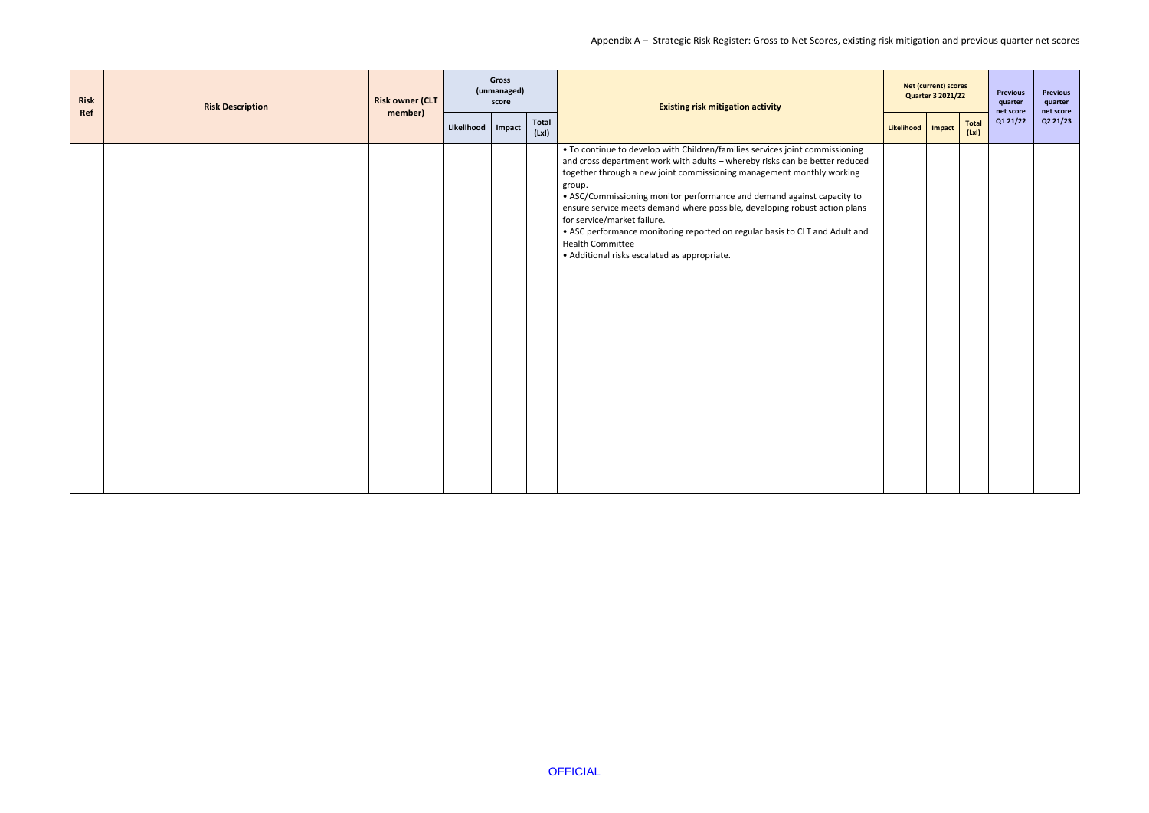| <b>Risk</b><br>Ref | <b>Risk Description</b> | <b>Risk owner (CLT</b><br>member) |            | <b>Gross</b><br>(unmanaged)<br>score |                | <b>Existing risk mitigation activity</b>                                                                                                                                                                                                                                                                                                                                                                                                                                                                                                                                                        |            | <b>Net (current) scores</b><br><b>Quarter 3 2021/22</b> | Previous<br>quarter<br>net score | <b>Previous</b><br>quarter<br>net score |
|--------------------|-------------------------|-----------------------------------|------------|--------------------------------------|----------------|-------------------------------------------------------------------------------------------------------------------------------------------------------------------------------------------------------------------------------------------------------------------------------------------------------------------------------------------------------------------------------------------------------------------------------------------------------------------------------------------------------------------------------------------------------------------------------------------------|------------|---------------------------------------------------------|----------------------------------|-----------------------------------------|
|                    |                         |                                   | Likelihood | Impact                               | Total<br>(LxI) |                                                                                                                                                                                                                                                                                                                                                                                                                                                                                                                                                                                                 | Likelihood | <b>Total</b><br>Impact<br>(Lx)                          | Q1 21/22                         | Q2 21/23                                |
|                    |                         |                                   |            |                                      |                | • To continue to develop with Children/families services joint commissioning<br>and cross department work with adults - whereby risks can be better reduced<br>together through a new joint commissioning management monthly working<br>group.<br>• ASC/Commissioning monitor performance and demand against capacity to<br>ensure service meets demand where possible, developing robust action plans<br>for service/market failure.<br>• ASC performance monitoring reported on regular basis to CLT and Adult and<br><b>Health Committee</b><br>• Additional risks escalated as appropriate. |            |                                                         |                                  |                                         |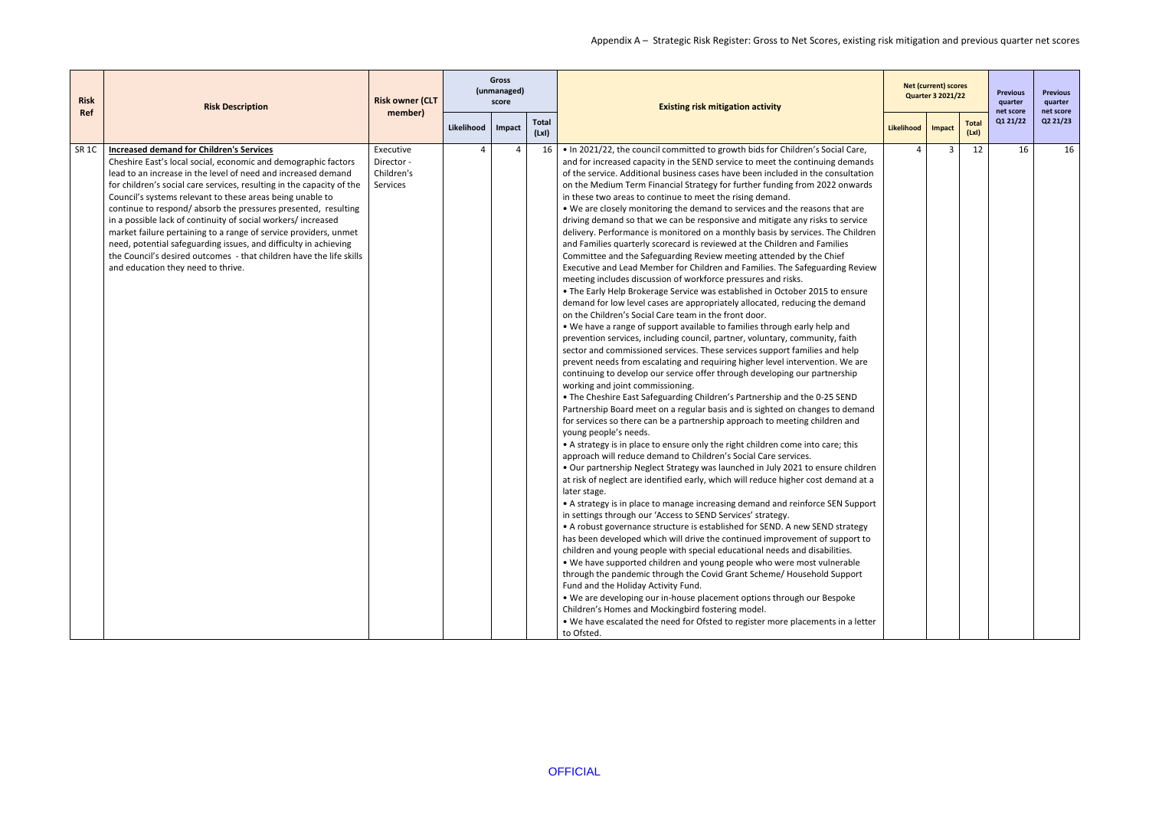| <b>Risk</b>  | <b>Risk Description</b>                                                                                                                                                                                                                                                                                                                                                                                                                                                                                                                                                                                                                                                                                         | <b>Risk owner (CLT</b>                            |                        | <b>Gross</b><br>(unmanaged)<br>score |                       | <b>Existing risk mitigation activity</b>                                                                                                                                                                                                                                                                                                                                                                                                                                                                                                                                                                                                                                                                                                                                                                                                                                                                                                                                                                                                                                                                                                                                                                                                                                                                                                                                                                                                                                                                                                                                                                                                                                                                                                                                                                                                                                                                                                                                                                                                                                                                                                                                                                                                                                                                                                                                                                                                                                                                                                                                                                                                                                                                                                                                                                                                                                                                                                                                                                                                                                    |            | <b>Net (current) scores</b><br><b>Quarter 3 2021/22</b> |                      | <b>Previous</b><br>quarter | <b>Previous</b><br>quarter |
|--------------|-----------------------------------------------------------------------------------------------------------------------------------------------------------------------------------------------------------------------------------------------------------------------------------------------------------------------------------------------------------------------------------------------------------------------------------------------------------------------------------------------------------------------------------------------------------------------------------------------------------------------------------------------------------------------------------------------------------------|---------------------------------------------------|------------------------|--------------------------------------|-----------------------|-----------------------------------------------------------------------------------------------------------------------------------------------------------------------------------------------------------------------------------------------------------------------------------------------------------------------------------------------------------------------------------------------------------------------------------------------------------------------------------------------------------------------------------------------------------------------------------------------------------------------------------------------------------------------------------------------------------------------------------------------------------------------------------------------------------------------------------------------------------------------------------------------------------------------------------------------------------------------------------------------------------------------------------------------------------------------------------------------------------------------------------------------------------------------------------------------------------------------------------------------------------------------------------------------------------------------------------------------------------------------------------------------------------------------------------------------------------------------------------------------------------------------------------------------------------------------------------------------------------------------------------------------------------------------------------------------------------------------------------------------------------------------------------------------------------------------------------------------------------------------------------------------------------------------------------------------------------------------------------------------------------------------------------------------------------------------------------------------------------------------------------------------------------------------------------------------------------------------------------------------------------------------------------------------------------------------------------------------------------------------------------------------------------------------------------------------------------------------------------------------------------------------------------------------------------------------------------------------------------------------------------------------------------------------------------------------------------------------------------------------------------------------------------------------------------------------------------------------------------------------------------------------------------------------------------------------------------------------------------------------------------------------------------------------------------------------------|------------|---------------------------------------------------------|----------------------|----------------------------|----------------------------|
| <b>Ref</b>   |                                                                                                                                                                                                                                                                                                                                                                                                                                                                                                                                                                                                                                                                                                                 | member)                                           | Likelihood             | Impact                               | <b>Total</b><br>(LxI) |                                                                                                                                                                                                                                                                                                                                                                                                                                                                                                                                                                                                                                                                                                                                                                                                                                                                                                                                                                                                                                                                                                                                                                                                                                                                                                                                                                                                                                                                                                                                                                                                                                                                                                                                                                                                                                                                                                                                                                                                                                                                                                                                                                                                                                                                                                                                                                                                                                                                                                                                                                                                                                                                                                                                                                                                                                                                                                                                                                                                                                                                             | Likelihood | Impact                                                  | <b>Total</b><br>(Lx) | net score<br>Q1 21/22      | net score<br>Q2 21/23      |
| <b>SR 1C</b> | <b>Increased demand for Children's Services</b><br>Cheshire East's local social, economic and demographic factors<br>lead to an increase in the level of need and increased demand<br>for children's social care services, resulting in the capacity of the<br>Council's systems relevant to these areas being unable to<br>continue to respond/ absorb the pressures presented, resulting<br>in a possible lack of continuity of social workers/increased<br>market failure pertaining to a range of service providers, unmet<br>need, potential safeguarding issues, and difficulty in achieving<br>the Council's desired outcomes - that children have the life skills<br>and education they need to thrive. | Executive<br>Director -<br>Children's<br>Services | $\boldsymbol{\Lambda}$ | $\overline{a}$                       | 16                    | . In 2021/22, the council committed to growth bids for Children's Social Care,<br>and for increased capacity in the SEND service to meet the continuing demands<br>of the service. Additional business cases have been included in the consultation<br>on the Medium Term Financial Strategy for further funding from 2022 onwards<br>in these two areas to continue to meet the rising demand.<br>. We are closely monitoring the demand to services and the reasons that are<br>driving demand so that we can be responsive and mitigate any risks to service<br>delivery. Performance is monitored on a monthly basis by services. The Children<br>and Families quarterly scorecard is reviewed at the Children and Families<br>Committee and the Safeguarding Review meeting attended by the Chief<br>Executive and Lead Member for Children and Families. The Safeguarding Review<br>meeting includes discussion of workforce pressures and risks.<br>. The Early Help Brokerage Service was established in October 2015 to ensure<br>demand for low level cases are appropriately allocated, reducing the demand<br>on the Children's Social Care team in the front door.<br>. We have a range of support available to families through early help and<br>prevention services, including council, partner, voluntary, community, faith<br>sector and commissioned services. These services support families and help<br>prevent needs from escalating and requiring higher level intervention. We are<br>continuing to develop our service offer through developing our partnership<br>working and joint commissioning.<br>. The Cheshire East Safeguarding Children's Partnership and the 0-25 SEND<br>Partnership Board meet on a regular basis and is sighted on changes to demand<br>for services so there can be a partnership approach to meeting children and<br>young people's needs.<br>• A strategy is in place to ensure only the right children come into care; this<br>approach will reduce demand to Children's Social Care services.<br>. Our partnership Neglect Strategy was launched in July 2021 to ensure children<br>at risk of neglect are identified early, which will reduce higher cost demand at a<br>later stage.<br>• A strategy is in place to manage increasing demand and reinforce SEN Support<br>in settings through our 'Access to SEND Services' strategy.<br>• A robust governance structure is established for SEND. A new SEND strategy<br>has been developed which will drive the continued improvement of support to<br>children and young people with special educational needs and disabilities.<br>. We have supported children and young people who were most vulnerable<br>through the pandemic through the Covid Grant Scheme/ Household Support<br>Fund and the Holiday Activity Fund.<br>. We are developing our in-house placement options through our Bespoke<br>Children's Homes and Mockingbird fostering model.<br>. We have escalated the need for Ofsted to register more placements in a letter<br>to Ofsted. | 4          | 3                                                       | 12                   | 16                         | 16                         |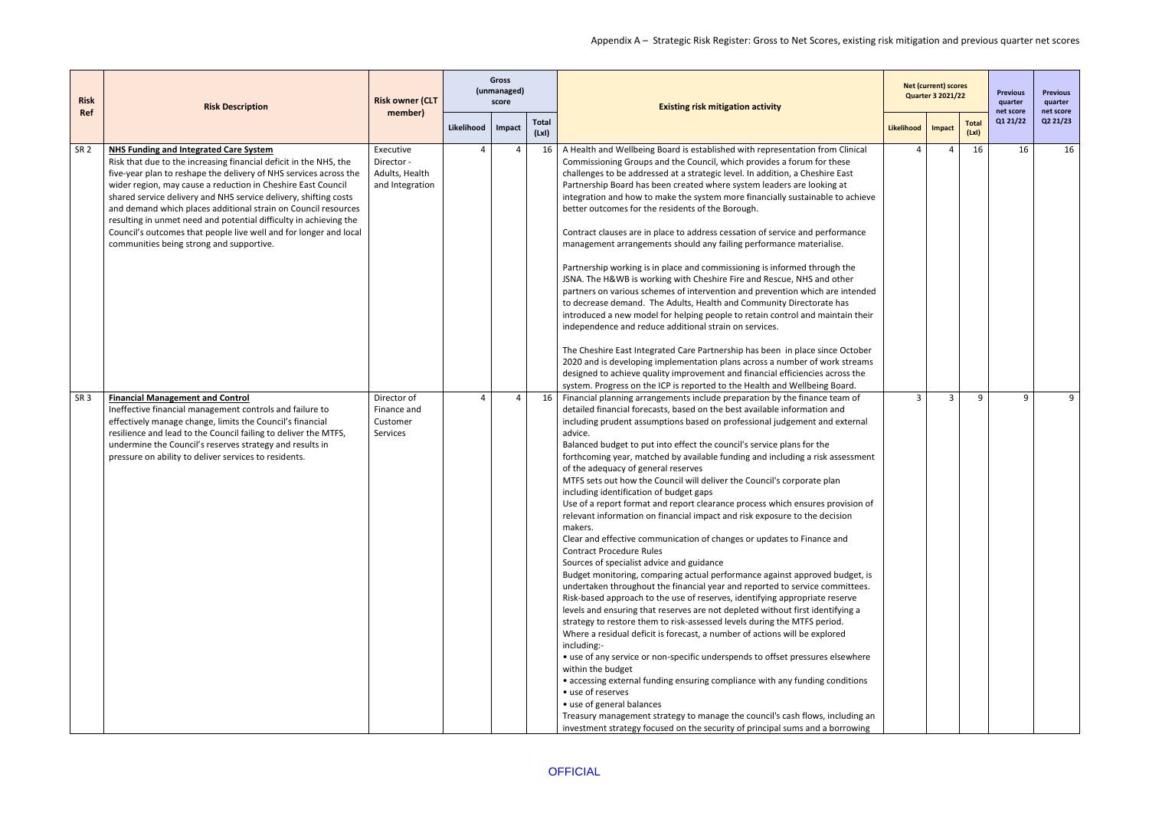| <b>Risk</b>     | <b>Risk Description</b>                                                                                                                                                                                                                                                                                                                                                                                                                                                                                                                                                      | <b>Risk owner (CLT</b>                                       |            | <b>Gross</b><br>(unmanaged)<br>score |                       | <b>Existing risk mitigation activity</b>                                                                                                                                                                                                                                                                                                                                                                                                                                                                                                                                                                                                                                                                                                                                                                                                                                                                                                                                                                                                                                                                                                                                                                                                                                                                                                                                                                                                                                                                                                                                                                                                                                                                                                                                                                                           |            | <b>Net (current) scores</b><br><b>Quarter 3 2021/22</b> |                      | <b>Previous</b><br>quarter | <b>Previous</b><br>quarter |
|-----------------|------------------------------------------------------------------------------------------------------------------------------------------------------------------------------------------------------------------------------------------------------------------------------------------------------------------------------------------------------------------------------------------------------------------------------------------------------------------------------------------------------------------------------------------------------------------------------|--------------------------------------------------------------|------------|--------------------------------------|-----------------------|------------------------------------------------------------------------------------------------------------------------------------------------------------------------------------------------------------------------------------------------------------------------------------------------------------------------------------------------------------------------------------------------------------------------------------------------------------------------------------------------------------------------------------------------------------------------------------------------------------------------------------------------------------------------------------------------------------------------------------------------------------------------------------------------------------------------------------------------------------------------------------------------------------------------------------------------------------------------------------------------------------------------------------------------------------------------------------------------------------------------------------------------------------------------------------------------------------------------------------------------------------------------------------------------------------------------------------------------------------------------------------------------------------------------------------------------------------------------------------------------------------------------------------------------------------------------------------------------------------------------------------------------------------------------------------------------------------------------------------------------------------------------------------------------------------------------------------|------------|---------------------------------------------------------|----------------------|----------------------------|----------------------------|
| Ref             |                                                                                                                                                                                                                                                                                                                                                                                                                                                                                                                                                                              | member)                                                      | Likelihood | Impact                               | <b>Total</b><br>(LxI) |                                                                                                                                                                                                                                                                                                                                                                                                                                                                                                                                                                                                                                                                                                                                                                                                                                                                                                                                                                                                                                                                                                                                                                                                                                                                                                                                                                                                                                                                                                                                                                                                                                                                                                                                                                                                                                    | Likelihood | Impact                                                  | <b>Total</b><br>(Lx) | net score<br>Q1 21/22      | net score<br>Q2 21/23      |
| SR <sub>2</sub> | NHS Funding and Integrated Care System<br>Risk that due to the increasing financial deficit in the NHS, the<br>five-year plan to reshape the delivery of NHS services across the<br>wider region, may cause a reduction in Cheshire East Council<br>shared service delivery and NHS service delivery, shifting costs<br>and demand which places additional strain on Council resources<br>resulting in unmet need and potential difficulty in achieving the<br>Council's outcomes that people live well and for longer and local<br>communities being strong and supportive. | Executive<br>Director -<br>Adults, Health<br>and Integration |            |                                      | $\overline{a}$<br>16  | A Health and Wellbeing Board is established with representation from Clinical<br>Commissioning Groups and the Council, which provides a forum for these<br>challenges to be addressed at a strategic level. In addition, a Cheshire East<br>Partnership Board has been created where system leaders are looking at<br>integration and how to make the system more financially sustainable to achieve<br>better outcomes for the residents of the Borough.<br>Contract clauses are in place to address cessation of service and performance<br>management arrangements should any failing performance materialise.<br>Partnership working is in place and commissioning is informed through the<br>JSNA. The H&WB is working with Cheshire Fire and Rescue, NHS and other<br>partners on various schemes of intervention and prevention which are intended<br>to decrease demand. The Adults, Health and Community Directorate has<br>introduced a new model for helping people to retain control and maintain their<br>independence and reduce additional strain on services.<br>The Cheshire East Integrated Care Partnership has been in place since October<br>2020 and is developing implementation plans across a number of work streams<br>designed to achieve quality improvement and financial efficiencies across the<br>system. Progress on the ICP is reported to the Health and Wellbeing Board.                                                                                                                                                                                                                                                                                                                                                                                                                       |            | $\Delta$                                                | 16                   | 16                         | 16                         |
| SR <sub>3</sub> | <b>Financial Management and Control</b><br>Ineffective financial management controls and failure to<br>effectively manage change, limits the Council's financial<br>resilience and lead to the Council failing to deliver the MTFS,<br>undermine the Council's reserves strategy and results in<br>pressure on ability to deliver services to residents.                                                                                                                                                                                                                     | Director of<br>Finance and<br>Customer<br>Services           |            | $\Lambda$                            | 16<br>$\overline{a}$  | Financial planning arrangements include preparation by the finance team of<br>detailed financial forecasts, based on the best available information and<br>including prudent assumptions based on professional judgement and external<br>advice.<br>Balanced budget to put into effect the council's service plans for the<br>forthcoming year, matched by available funding and including a risk assessment<br>of the adequacy of general reserves<br>MTFS sets out how the Council will deliver the Council's corporate plan<br>including identification of budget gaps<br>Use of a report format and report clearance process which ensures provision of<br>relevant information on financial impact and risk exposure to the decision<br>makers.<br>Clear and effective communication of changes or updates to Finance and<br><b>Contract Procedure Rules</b><br>Sources of specialist advice and guidance<br>Budget monitoring, comparing actual performance against approved budget, is<br>undertaken throughout the financial year and reported to service committees.<br>Risk-based approach to the use of reserves, identifying appropriate reserve<br>levels and ensuring that reserves are not depleted without first identifying a<br>strategy to restore them to risk-assessed levels during the MTFS period.<br>Where a residual deficit is forecast, a number of actions will be explored<br>including:-<br>• use of any service or non-specific underspends to offset pressures elsewhere<br>within the budget<br>• accessing external funding ensuring compliance with any funding conditions<br>• use of reserves<br>• use of general balances<br>Treasury management strategy to manage the council's cash flows, including an<br>investment strategy focused on the security of principal sums and a borrowing | 3          | 3                                                       | 9                    |                            | 9                          |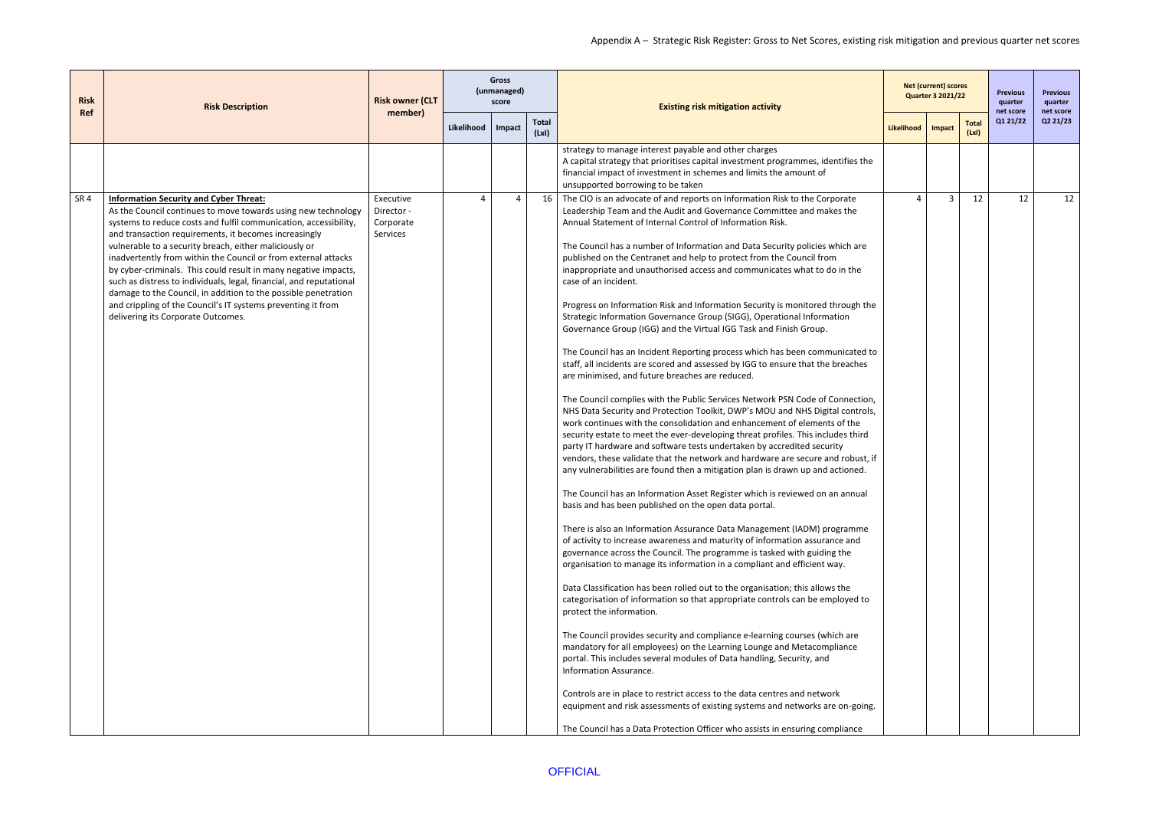| <b>Risk</b>     | <b>Risk Description</b>                                                                                                                                                                                                                                                                                                                                                                                                                                                                                                                                                                                                                                                                   | <b>Risk owner (CLT</b>                           |                | <b>Gross</b><br>(unmanaged)<br>score |                      | <b>Existing risk mitigation activity</b>                                                                                                                                                                                                                                                                                                                                                                                                                                                                                                                                                                                                                                                                                                                                                                                                                                                                                                                                                                                                                                                                                                                                                                                                                                                                                                                                                                                                                                                                                                                                                                                                                                                                                                                                                                                                                                                                                                                                                                                                                                                                                                                                                                                                                                                                                                                                                                                                                                                                                                                                                                                                                                           |                | <b>Net (current) scores</b><br><b>Quarter 3 2021/22</b> |                      | <b>Previous</b><br>quarter<br>net score | <b>Previous</b><br>quarter<br>net score |
|-----------------|-------------------------------------------------------------------------------------------------------------------------------------------------------------------------------------------------------------------------------------------------------------------------------------------------------------------------------------------------------------------------------------------------------------------------------------------------------------------------------------------------------------------------------------------------------------------------------------------------------------------------------------------------------------------------------------------|--------------------------------------------------|----------------|--------------------------------------|----------------------|------------------------------------------------------------------------------------------------------------------------------------------------------------------------------------------------------------------------------------------------------------------------------------------------------------------------------------------------------------------------------------------------------------------------------------------------------------------------------------------------------------------------------------------------------------------------------------------------------------------------------------------------------------------------------------------------------------------------------------------------------------------------------------------------------------------------------------------------------------------------------------------------------------------------------------------------------------------------------------------------------------------------------------------------------------------------------------------------------------------------------------------------------------------------------------------------------------------------------------------------------------------------------------------------------------------------------------------------------------------------------------------------------------------------------------------------------------------------------------------------------------------------------------------------------------------------------------------------------------------------------------------------------------------------------------------------------------------------------------------------------------------------------------------------------------------------------------------------------------------------------------------------------------------------------------------------------------------------------------------------------------------------------------------------------------------------------------------------------------------------------------------------------------------------------------------------------------------------------------------------------------------------------------------------------------------------------------------------------------------------------------------------------------------------------------------------------------------------------------------------------------------------------------------------------------------------------------------------------------------------------------------------------------------------------------|----------------|---------------------------------------------------------|----------------------|-----------------------------------------|-----------------------------------------|
| <b>Ref</b>      |                                                                                                                                                                                                                                                                                                                                                                                                                                                                                                                                                                                                                                                                                           | member)                                          | Likelihood     | Impact                               | <b>Total</b><br>(Lx) |                                                                                                                                                                                                                                                                                                                                                                                                                                                                                                                                                                                                                                                                                                                                                                                                                                                                                                                                                                                                                                                                                                                                                                                                                                                                                                                                                                                                                                                                                                                                                                                                                                                                                                                                                                                                                                                                                                                                                                                                                                                                                                                                                                                                                                                                                                                                                                                                                                                                                                                                                                                                                                                                                    | Likelihood     | Impact                                                  | <b>Total</b><br>(Lx) | Q1 21/22                                | Q2 21/23                                |
|                 |                                                                                                                                                                                                                                                                                                                                                                                                                                                                                                                                                                                                                                                                                           |                                                  |                |                                      |                      | strategy to manage interest payable and other charges<br>A capital strategy that prioritises capital investment programmes, identifies the<br>financial impact of investment in schemes and limits the amount of<br>unsupported borrowing to be taken                                                                                                                                                                                                                                                                                                                                                                                                                                                                                                                                                                                                                                                                                                                                                                                                                                                                                                                                                                                                                                                                                                                                                                                                                                                                                                                                                                                                                                                                                                                                                                                                                                                                                                                                                                                                                                                                                                                                                                                                                                                                                                                                                                                                                                                                                                                                                                                                                              |                |                                                         |                      |                                         |                                         |
| SR <sub>4</sub> | <b>Information Security and Cyber Threat:</b><br>As the Council continues to move towards using new technology<br>systems to reduce costs and fulfil communication, accessibility,<br>and transaction requirements, it becomes increasingly<br>vulnerable to a security breach, either maliciously or<br>inadvertently from within the Council or from external attacks<br>by cyber-criminals. This could result in many negative impacts,<br>such as distress to individuals, legal, financial, and reputational<br>damage to the Council, in addition to the possible penetration<br>and crippling of the Council's IT systems preventing it from<br>delivering its Corporate Outcomes. | Executive<br>Director -<br>Corporate<br>Services | $\overline{a}$ | $\overline{a}$                       | 16                   | The CIO is an advocate of and reports on Information Risk to the Corporate<br>Leadership Team and the Audit and Governance Committee and makes the<br>Annual Statement of Internal Control of Information Risk.<br>The Council has a number of Information and Data Security policies which are<br>published on the Centranet and help to protect from the Council from<br>inappropriate and unauthorised access and communicates what to do in the<br>case of an incident.<br>Progress on Information Risk and Information Security is monitored through the<br>Strategic Information Governance Group (SIGG), Operational Information<br>Governance Group (IGG) and the Virtual IGG Task and Finish Group.<br>The Council has an Incident Reporting process which has been communicated to<br>staff, all incidents are scored and assessed by IGG to ensure that the breaches<br>are minimised, and future breaches are reduced.<br>The Council complies with the Public Services Network PSN Code of Connection,<br>NHS Data Security and Protection Toolkit, DWP's MOU and NHS Digital controls,<br>work continues with the consolidation and enhancement of elements of the<br>security estate to meet the ever-developing threat profiles. This includes third<br>party IT hardware and software tests undertaken by accredited security<br>vendors, these validate that the network and hardware are secure and robust, if<br>any vulnerabilities are found then a mitigation plan is drawn up and actioned.<br>The Council has an Information Asset Register which is reviewed on an annual<br>basis and has been published on the open data portal.<br>There is also an Information Assurance Data Management (IADM) programme<br>of activity to increase awareness and maturity of information assurance and<br>governance across the Council. The programme is tasked with guiding the<br>organisation to manage its information in a compliant and efficient way.<br>Data Classification has been rolled out to the organisation; this allows the<br>categorisation of information so that appropriate controls can be employed to<br>protect the information.<br>The Council provides security and compliance e-learning courses (which are<br>mandatory for all employees) on the Learning Lounge and Metacompliance<br>portal. This includes several modules of Data handling, Security, and<br>Information Assurance.<br>Controls are in place to restrict access to the data centres and network<br>equipment and risk assessments of existing systems and networks are on-going.<br>The Council has a Data Protection Officer who assists in ensuring compliance | $\overline{4}$ | $\overline{3}$                                          | 12                   | 12                                      | 12                                      |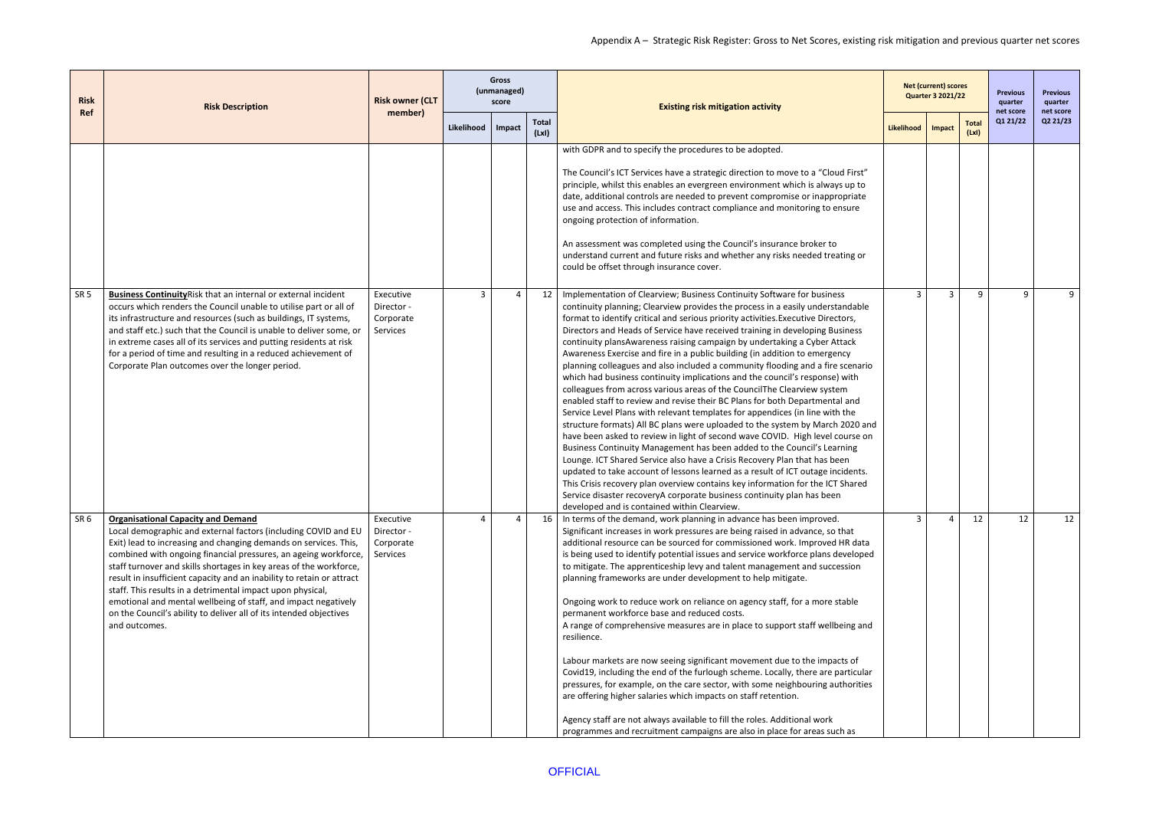| <b>Risk</b><br>Ref | <b>Risk Description</b>                                                                                                                                                                                                                                                                                                                                                                                                                                                                                                                                                                                                  | <b>Risk owner (CLT</b>                                  |                     | <b>Gross</b><br>(unmanaged)<br>score |                      | <b>Existing risk mitigation activity</b>                                                                                                                                                                                                                                                                                                                                                                                                                                                                                                                                                                                                                                                                                                                                                                                                                                                                                                                                                                                                                                                                                                                                                                                                                                                                                                                                                                                                                                                                                    |              | <b>Net (current) scores</b><br><b>Quarter 3 2021/22</b> |                      | <b>Previous</b><br>quarter | <b>Previous</b><br>quarter |
|--------------------|--------------------------------------------------------------------------------------------------------------------------------------------------------------------------------------------------------------------------------------------------------------------------------------------------------------------------------------------------------------------------------------------------------------------------------------------------------------------------------------------------------------------------------------------------------------------------------------------------------------------------|---------------------------------------------------------|---------------------|--------------------------------------|----------------------|-----------------------------------------------------------------------------------------------------------------------------------------------------------------------------------------------------------------------------------------------------------------------------------------------------------------------------------------------------------------------------------------------------------------------------------------------------------------------------------------------------------------------------------------------------------------------------------------------------------------------------------------------------------------------------------------------------------------------------------------------------------------------------------------------------------------------------------------------------------------------------------------------------------------------------------------------------------------------------------------------------------------------------------------------------------------------------------------------------------------------------------------------------------------------------------------------------------------------------------------------------------------------------------------------------------------------------------------------------------------------------------------------------------------------------------------------------------------------------------------------------------------------------|--------------|---------------------------------------------------------|----------------------|----------------------------|----------------------------|
|                    |                                                                                                                                                                                                                                                                                                                                                                                                                                                                                                                                                                                                                          | member)                                                 | Likelihood   Impact |                                      | <b>Total</b><br>(Lx) |                                                                                                                                                                                                                                                                                                                                                                                                                                                                                                                                                                                                                                                                                                                                                                                                                                                                                                                                                                                                                                                                                                                                                                                                                                                                                                                                                                                                                                                                                                                             | Likelihood   | Impact                                                  | <b>Total</b><br>(Lx) | net score<br>Q1 21/22      | net score<br>Q2 21/23      |
|                    |                                                                                                                                                                                                                                                                                                                                                                                                                                                                                                                                                                                                                          |                                                         |                     |                                      |                      | with GDPR and to specify the procedures to be adopted.<br>The Council's ICT Services have a strategic direction to move to a "Cloud First"<br>principle, whilst this enables an evergreen environment which is always up to<br>date, additional controls are needed to prevent compromise or inappropriate<br>use and access. This includes contract compliance and monitoring to ensure<br>ongoing protection of information.<br>An assessment was completed using the Council's insurance broker to<br>understand current and future risks and whether any risks needed treating or<br>could be offset through insurance cover.                                                                                                                                                                                                                                                                                                                                                                                                                                                                                                                                                                                                                                                                                                                                                                                                                                                                                           |              |                                                         |                      |                            |                            |
| SR <sub>5</sub>    | Business Continuity Risk that an internal or external incident<br>occurs which renders the Council unable to utilise part or all of<br>its infrastructure and resources (such as buildings, IT systems,<br>and staff etc.) such that the Council is unable to deliver some, or<br>in extreme cases all of its services and putting residents at risk<br>for a period of time and resulting in a reduced achievement of<br>Corporate Plan outcomes over the longer period.                                                                                                                                                | Executive<br>Director -<br>Corporate<br><b>Services</b> | $\overline{3}$      | $\overline{a}$                       | 12                   | Implementation of Clearview; Business Continuity Software for business<br>continuity planning; Clearview provides the process in a easily understandable<br>format to identify critical and serious priority activities. Executive Directors,<br>Directors and Heads of Service have received training in developing Business<br>continuity plansAwareness raising campaign by undertaking a Cyber Attack<br>Awareness Exercise and fire in a public building (in addition to emergency<br>planning colleagues and also included a community flooding and a fire scenario<br>which had business continuity implications and the council's response) with<br>colleagues from across various areas of the CouncilThe Clearview system<br>enabled staff to review and revise their BC Plans for both Departmental and<br>Service Level Plans with relevant templates for appendices (in line with the<br>structure formats) All BC plans were uploaded to the system by March 2020 and<br>have been asked to review in light of second wave COVID. High level course on<br>Business Continuity Management has been added to the Council's Learning<br>Lounge. ICT Shared Service also have a Crisis Recovery Plan that has been<br>updated to take account of lessons learned as a result of ICT outage incidents.<br>This Crisis recovery plan overview contains key information for the ICT Shared<br>Service disaster recoveryA corporate business continuity plan has been<br>developed and is contained within Clearview. | $\mathbf{3}$ | $\overline{3}$                                          | 9                    | 9                          | 9                          |
| SR <sub>6</sub>    | <b>Organisational Capacity and Demand</b><br>Local demographic and external factors (including COVID and EU<br>Exit) lead to increasing and changing demands on services. This,<br>combined with ongoing financial pressures, an ageing workforce,<br>staff turnover and skills shortages in key areas of the workforce,<br>result in insufficient capacity and an inability to retain or attract<br>staff. This results in a detrimental impact upon physical,<br>emotional and mental wellbeing of staff, and impact negatively<br>on the Council's ability to deliver all of its intended objectives<br>and outcomes. | Executive<br>Director -<br>Corporate<br>Services        | $\Delta$            | $\overline{a}$                       | 16                   | In terms of the demand, work planning in advance has been improved.<br>Significant increases in work pressures are being raised in advance, so that<br>additional resource can be sourced for commissioned work. Improved HR data<br>is being used to identify potential issues and service workforce plans developed<br>to mitigate. The apprenticeship levy and talent management and succession<br>planning frameworks are under development to help mitigate.<br>Ongoing work to reduce work on reliance on agency staff, for a more stable<br>permanent workforce base and reduced costs.<br>A range of comprehensive measures are in place to support staff wellbeing and<br>resilience.<br>Labour markets are now seeing significant movement due to the impacts of<br>Covid19, including the end of the furlough scheme. Locally, there are particular<br>pressures, for example, on the care sector, with some neighbouring authorities<br>are offering higher salaries which impacts on staff retention.<br>Agency staff are not always available to fill the roles. Additional work<br>programmes and recruitment campaigns are also in place for areas such as                                                                                                                                                                                                                                                                                                                                                  | 3            | 4                                                       | 12                   | 12                         | 12                         |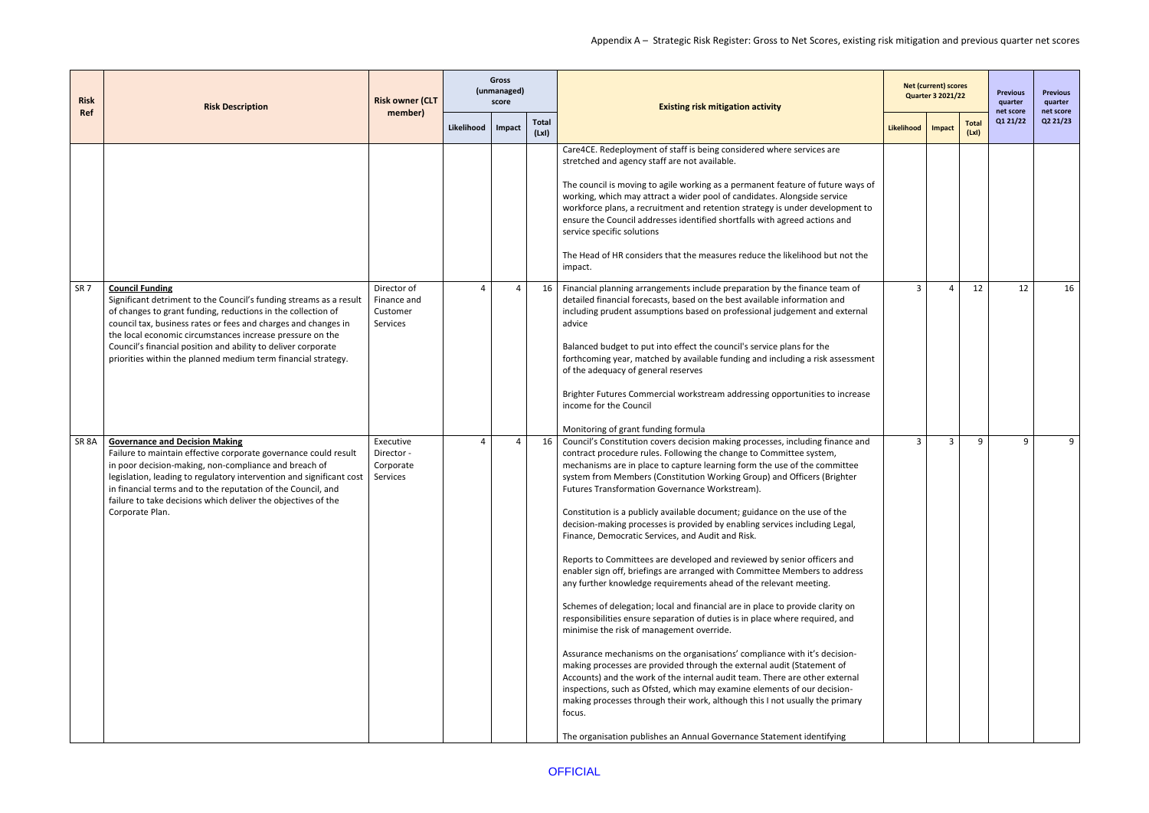| <b>Risk</b>       | <b>Risk Description</b>                                                                                                                                                                                                                                                                                                                                                                                                       | <b>Risk owner (CLT</b>                             |            | <b>Gross</b><br>(unmanaged)<br>score |                       | <b>Existing risk mitigation activity</b>                                                                                                                                                                                                                                                                                                                                                                                                                                                                                                                                                                                                                                                                                                                                                                                                                                                                                                                                                                                                                                                                                                                                                                                                                                                                                                                                                                                                                                                                          |              | <b>Net (current) scores</b><br><b>Quarter 3 2021/22</b> |                      | <b>Previous</b><br>quarter | <b>Previous</b><br>quarter |
|-------------------|-------------------------------------------------------------------------------------------------------------------------------------------------------------------------------------------------------------------------------------------------------------------------------------------------------------------------------------------------------------------------------------------------------------------------------|----------------------------------------------------|------------|--------------------------------------|-----------------------|-------------------------------------------------------------------------------------------------------------------------------------------------------------------------------------------------------------------------------------------------------------------------------------------------------------------------------------------------------------------------------------------------------------------------------------------------------------------------------------------------------------------------------------------------------------------------------------------------------------------------------------------------------------------------------------------------------------------------------------------------------------------------------------------------------------------------------------------------------------------------------------------------------------------------------------------------------------------------------------------------------------------------------------------------------------------------------------------------------------------------------------------------------------------------------------------------------------------------------------------------------------------------------------------------------------------------------------------------------------------------------------------------------------------------------------------------------------------------------------------------------------------|--------------|---------------------------------------------------------|----------------------|----------------------------|----------------------------|
| <b>Ref</b>        |                                                                                                                                                                                                                                                                                                                                                                                                                               | member)                                            | Likelihood | Impact                               | <b>Total</b><br>(LxI) |                                                                                                                                                                                                                                                                                                                                                                                                                                                                                                                                                                                                                                                                                                                                                                                                                                                                                                                                                                                                                                                                                                                                                                                                                                                                                                                                                                                                                                                                                                                   | Likelihood   | Impact                                                  | <b>Total</b><br>(Lx) | net score<br>Q1 21/22      | net score<br>Q2 21/23      |
|                   |                                                                                                                                                                                                                                                                                                                                                                                                                               |                                                    |            |                                      |                       | Care4CE. Redeployment of staff is being considered where services are<br>stretched and agency staff are not available.<br>The council is moving to agile working as a permanent feature of future ways of<br>working, which may attract a wider pool of candidates. Alongside service<br>workforce plans, a recruitment and retention strategy is under development to<br>ensure the Council addresses identified shortfalls with agreed actions and<br>service specific solutions<br>The Head of HR considers that the measures reduce the likelihood but not the                                                                                                                                                                                                                                                                                                                                                                                                                                                                                                                                                                                                                                                                                                                                                                                                                                                                                                                                                |              |                                                         |                      |                            |                            |
| SR <sub>7</sub>   | <b>Council Funding</b><br>Significant detriment to the Council's funding streams as a result<br>of changes to grant funding, reductions in the collection of<br>council tax, business rates or fees and charges and changes in<br>the local economic circumstances increase pressure on the<br>Council's financial position and ability to deliver corporate<br>priorities within the planned medium term financial strategy. | Director of<br>Finance and<br>Customer<br>Services |            |                                      | 16                    | impact.<br>Financial planning arrangements include preparation by the finance team of<br>detailed financial forecasts, based on the best available information and<br>including prudent assumptions based on professional judgement and external<br>advice<br>Balanced budget to put into effect the council's service plans for the<br>forthcoming year, matched by available funding and including a risk assessment<br>of the adequacy of general reserves<br>Brighter Futures Commercial workstream addressing opportunities to increase<br>income for the Council<br>Monitoring of grant funding formula                                                                                                                                                                                                                                                                                                                                                                                                                                                                                                                                                                                                                                                                                                                                                                                                                                                                                                     | 3            | Δ                                                       | 12                   | 12                         | 16                         |
| SR <sub>8</sub> A | <b>Governance and Decision Making</b><br>Failure to maintain effective corporate governance could result<br>in poor decision-making, non-compliance and breach of<br>legislation, leading to regulatory intervention and significant cost<br>in financial terms and to the reputation of the Council, and<br>failure to take decisions which deliver the objectives of the<br>Corporate Plan.                                 | Executive<br>Director -<br>Corporate<br>Services   | $\Delta$   | 4                                    | 16                    | Council's Constitution covers decision making processes, including finance and<br>contract procedure rules. Following the change to Committee system,<br>mechanisms are in place to capture learning form the use of the committee<br>system from Members (Constitution Working Group) and Officers (Brighter<br>Futures Transformation Governance Workstream).<br>Constitution is a publicly available document; guidance on the use of the<br>decision-making processes is provided by enabling services including Legal,<br>Finance, Democratic Services, and Audit and Risk.<br>Reports to Committees are developed and reviewed by senior officers and<br>enabler sign off, briefings are arranged with Committee Members to address<br>any further knowledge requirements ahead of the relevant meeting.<br>Schemes of delegation; local and financial are in place to provide clarity on<br>responsibilities ensure separation of duties is in place where required, and<br>minimise the risk of management override.<br>Assurance mechanisms on the organisations' compliance with it's decision-<br>making processes are provided through the external audit (Statement of<br>Accounts) and the work of the internal audit team. There are other external<br>inspections, such as Ofsted, which may examine elements of our decision-<br>making processes through their work, although this I not usually the primary<br>focus.<br>The organisation publishes an Annual Governance Statement identifying | $\mathbf{3}$ | $\overline{3}$                                          | 9                    | $\mathsf{q}$               | 9                          |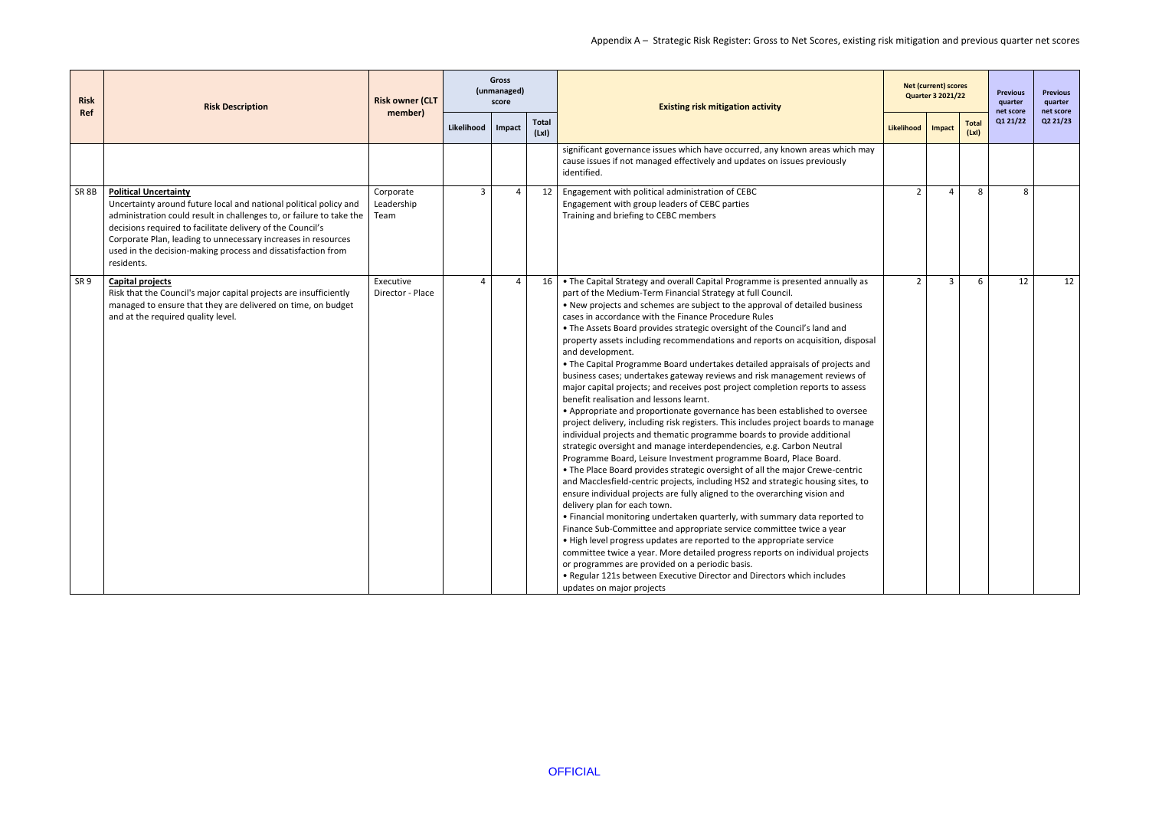| <b>Risk</b>      | <b>Risk Description</b>                                                                                                                                                                                                                                                                                                                                                                | <b>Risk owner (CLT</b><br>member) | <b>Gross</b><br>(unmanaged)<br>score |                | <b>Existing risk mitigation activity</b> |                                                                                                                                                                                                                                                                                                                                                                                                                                                                                                                                                                                                                                                                                                                                                                                                                                                                                                                                                                                                                                                                                                                                                                                                                                                                                                                                                                                                                                                                                                                                                                                                                                                                                                                                                                                                                                                                                                                            |                | <b>Net (current) scores</b><br><b>Quarter 3 2021/22</b> |                      | <b>Previous</b><br>quarter | <b>Previous</b><br>quarter |
|------------------|----------------------------------------------------------------------------------------------------------------------------------------------------------------------------------------------------------------------------------------------------------------------------------------------------------------------------------------------------------------------------------------|-----------------------------------|--------------------------------------|----------------|------------------------------------------|----------------------------------------------------------------------------------------------------------------------------------------------------------------------------------------------------------------------------------------------------------------------------------------------------------------------------------------------------------------------------------------------------------------------------------------------------------------------------------------------------------------------------------------------------------------------------------------------------------------------------------------------------------------------------------------------------------------------------------------------------------------------------------------------------------------------------------------------------------------------------------------------------------------------------------------------------------------------------------------------------------------------------------------------------------------------------------------------------------------------------------------------------------------------------------------------------------------------------------------------------------------------------------------------------------------------------------------------------------------------------------------------------------------------------------------------------------------------------------------------------------------------------------------------------------------------------------------------------------------------------------------------------------------------------------------------------------------------------------------------------------------------------------------------------------------------------------------------------------------------------------------------------------------------------|----------------|---------------------------------------------------------|----------------------|----------------------------|----------------------------|
| Ref              |                                                                                                                                                                                                                                                                                                                                                                                        |                                   | Likelihood                           | Impact         | <b>Total</b><br>(Lx)                     |                                                                                                                                                                                                                                                                                                                                                                                                                                                                                                                                                                                                                                                                                                                                                                                                                                                                                                                                                                                                                                                                                                                                                                                                                                                                                                                                                                                                                                                                                                                                                                                                                                                                                                                                                                                                                                                                                                                            | Likelihood     | Impact                                                  | <b>Total</b><br>(Lx) | net score<br>Q1 21/22      | net score<br>Q2 21/23      |
|                  |                                                                                                                                                                                                                                                                                                                                                                                        |                                   |                                      |                |                                          | significant governance issues which have occurred, any known areas which may<br>cause issues if not managed effectively and updates on issues previously<br>identified.                                                                                                                                                                                                                                                                                                                                                                                                                                                                                                                                                                                                                                                                                                                                                                                                                                                                                                                                                                                                                                                                                                                                                                                                                                                                                                                                                                                                                                                                                                                                                                                                                                                                                                                                                    |                |                                                         |                      |                            |                            |
| SR <sub>8B</sub> | <b>Political Uncertainty</b><br>Uncertainty around future local and national political policy and<br>administration could result in challenges to, or failure to take the<br>decisions required to facilitate delivery of the Council's<br>Corporate Plan, leading to unnecessary increases in resources<br>used in the decision-making process and dissatisfaction from<br>residents. | Corporate<br>Leadership<br>Team   | $\overline{3}$                       | $\overline{4}$ | 12                                       | Engagement with political administration of CEBC<br>Engagement with group leaders of CEBC parties<br>Training and briefing to CEBC members                                                                                                                                                                                                                                                                                                                                                                                                                                                                                                                                                                                                                                                                                                                                                                                                                                                                                                                                                                                                                                                                                                                                                                                                                                                                                                                                                                                                                                                                                                                                                                                                                                                                                                                                                                                 | $\overline{2}$ | $\Delta$                                                | 8                    | 8                          |                            |
| SR <sub>9</sub>  | <b>Capital projects</b><br>Risk that the Council's major capital projects are insufficiently<br>managed to ensure that they are delivered on time, on budget<br>and at the required quality level.                                                                                                                                                                                     | Executive<br>Director - Place     | $\overline{4}$                       | $\overline{a}$ | 16                                       | • The Capital Strategy and overall Capital Programme is presented annually as<br>part of the Medium-Term Financial Strategy at full Council.<br>• New projects and schemes are subject to the approval of detailed business<br>cases in accordance with the Finance Procedure Rules<br>. The Assets Board provides strategic oversight of the Council's land and<br>property assets including recommendations and reports on acquisition, disposal<br>and development.<br>• The Capital Programme Board undertakes detailed appraisals of projects and<br>business cases; undertakes gateway reviews and risk management reviews of<br>major capital projects; and receives post project completion reports to assess<br>benefit realisation and lessons learnt.<br>• Appropriate and proportionate governance has been established to oversee<br>project delivery, including risk registers. This includes project boards to manage<br>individual projects and thematic programme boards to provide additional<br>strategic oversight and manage interdependencies, e.g. Carbon Neutral<br>Programme Board, Leisure Investment programme Board, Place Board.<br>• The Place Board provides strategic oversight of all the major Crewe-centric<br>and Macclesfield-centric projects, including HS2 and strategic housing sites, to<br>ensure individual projects are fully aligned to the overarching vision and<br>delivery plan for each town.<br>. Financial monitoring undertaken quarterly, with summary data reported to<br>Finance Sub-Committee and appropriate service committee twice a year<br>. High level progress updates are reported to the appropriate service<br>committee twice a year. More detailed progress reports on individual projects<br>or programmes are provided on a periodic basis.<br>. Regular 121s between Executive Director and Directors which includes<br>updates on major projects | $\overline{2}$ | $\overline{3}$                                          | 6                    | 12                         | 12                         |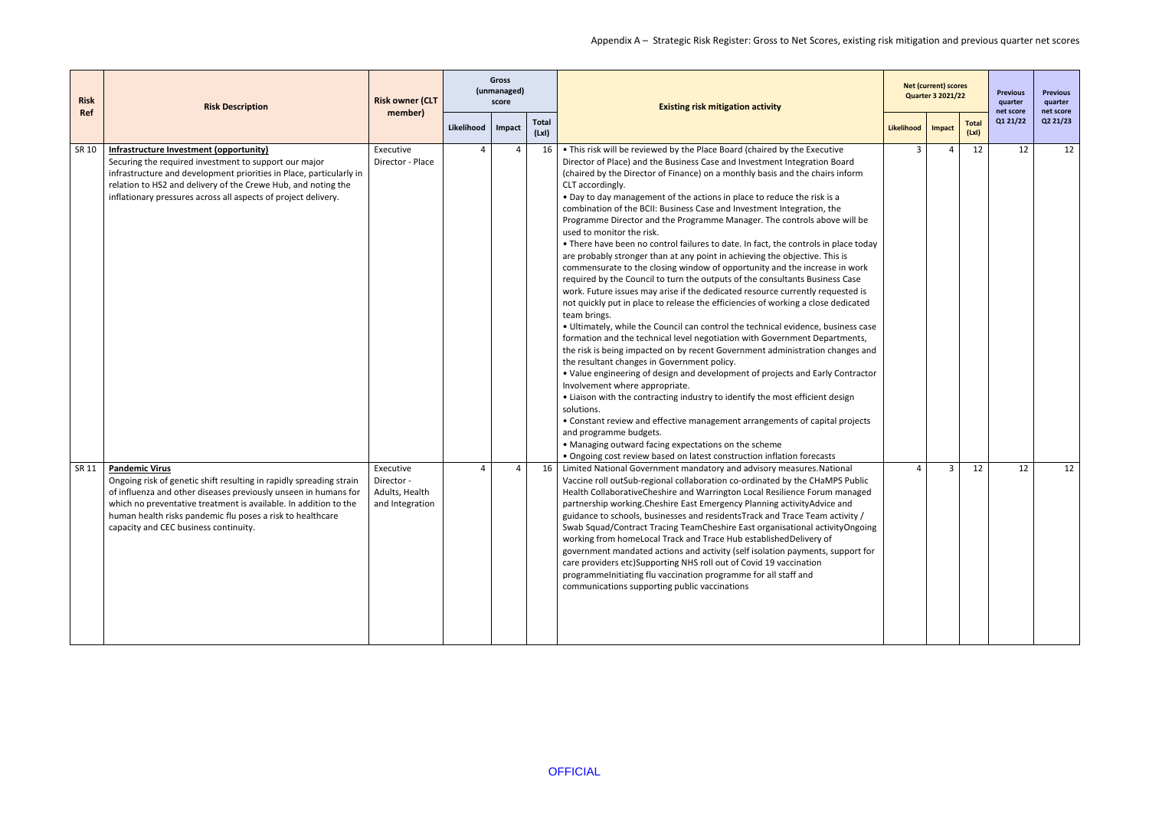| <b>Risk</b> | <b>Risk Description</b>                                                                                                                                                                                                                                                                                                                    | <b>Risk owner (CLT</b>                                       |            | <b>Gross</b><br>(unmanaged)<br>score |                       | <b>Existing risk mitigation activity</b>                                                                                                                                                                                                                                                                                                                                                                                                                                                                                                                                                                                                                                                                                                                                                                                                                                                                                                                                                                                                                                                                                                                                                                                                                                                                                                                                                                                                                                                                                                                                                                                                                                                                                                                                                                              |            | <b>Net (current) scores</b><br><b>Quarter 3 2021/22</b> |                      | <b>Previous</b><br>quarter<br>net score | <b>Previous</b><br>quarter<br>net score |
|-------------|--------------------------------------------------------------------------------------------------------------------------------------------------------------------------------------------------------------------------------------------------------------------------------------------------------------------------------------------|--------------------------------------------------------------|------------|--------------------------------------|-----------------------|-----------------------------------------------------------------------------------------------------------------------------------------------------------------------------------------------------------------------------------------------------------------------------------------------------------------------------------------------------------------------------------------------------------------------------------------------------------------------------------------------------------------------------------------------------------------------------------------------------------------------------------------------------------------------------------------------------------------------------------------------------------------------------------------------------------------------------------------------------------------------------------------------------------------------------------------------------------------------------------------------------------------------------------------------------------------------------------------------------------------------------------------------------------------------------------------------------------------------------------------------------------------------------------------------------------------------------------------------------------------------------------------------------------------------------------------------------------------------------------------------------------------------------------------------------------------------------------------------------------------------------------------------------------------------------------------------------------------------------------------------------------------------------------------------------------------------|------------|---------------------------------------------------------|----------------------|-----------------------------------------|-----------------------------------------|
| Ref         |                                                                                                                                                                                                                                                                                                                                            | member)                                                      | Likelihood | Impact                               | <b>Total</b><br>(LxI) |                                                                                                                                                                                                                                                                                                                                                                                                                                                                                                                                                                                                                                                                                                                                                                                                                                                                                                                                                                                                                                                                                                                                                                                                                                                                                                                                                                                                                                                                                                                                                                                                                                                                                                                                                                                                                       | Likelihood | Impact                                                  | <b>Total</b><br>(Lx) | Q1 21/22                                | Q2 21/23                                |
| SR 10       | Infrastructure Investment (opportunity)<br>Securing the required investment to support our major<br>infrastructure and development priorities in Place, particularly in<br>relation to HS2 and delivery of the Crewe Hub, and noting the<br>inflationary pressures across all aspects of project delivery.                                 | Executive<br>Director - Place                                |            |                                      | 16                    | . This risk will be reviewed by the Place Board (chaired by the Executive<br>Director of Place) and the Business Case and Investment Integration Board<br>(chaired by the Director of Finance) on a monthly basis and the chairs inform<br>CLT accordingly.<br>• Day to day management of the actions in place to reduce the risk is a<br>combination of the BCII: Business Case and Investment Integration, the<br>Programme Director and the Programme Manager. The controls above will be<br>used to monitor the risk.<br>• There have been no control failures to date. In fact, the controls in place today<br>are probably stronger than at any point in achieving the objective. This is<br>commensurate to the closing window of opportunity and the increase in work<br>required by the Council to turn the outputs of the consultants Business Case<br>work. Future issues may arise if the dedicated resource currently requested is<br>not quickly put in place to release the efficiencies of working a close dedicated<br>team brings.<br>• Ultimately, while the Council can control the technical evidence, business case<br>formation and the technical level negotiation with Government Departments,<br>the risk is being impacted on by recent Government administration changes and<br>the resultant changes in Government policy.<br>• Value engineering of design and development of projects and Early Contractor<br>Involvement where appropriate.<br>• Liaison with the contracting industry to identify the most efficient design<br>solutions.<br>• Constant review and effective management arrangements of capital projects<br>and programme budgets.<br>• Managing outward facing expectations on the scheme<br>• Ongoing cost review based on latest construction inflation forecasts | 3          |                                                         | 12                   | 12                                      | 12                                      |
| SR 11       | <b>Pandemic Virus</b><br>Ongoing risk of genetic shift resulting in rapidly spreading strain<br>of influenza and other diseases previously unseen in humans for<br>which no preventative treatment is available. In addition to the<br>human health risks pandemic flu poses a risk to healthcare<br>capacity and CEC business continuity. | Executive<br>Director -<br>Adults, Health<br>and Integration | Δ          | 4                                    | 16                    | Limited National Government mandatory and advisory measures. National<br>Vaccine roll outSub-regional collaboration co-ordinated by the CHaMPS Public<br>Health CollaborativeCheshire and Warrington Local Resilience Forum managed<br>partnership working. Cheshire East Emergency Planning activity Advice and<br>guidance to schools, businesses and residents Track and Trace Team activity /<br>Swab Squad/Contract Tracing TeamCheshire East organisational activityOngoing<br>working from homeLocal Track and Trace Hub establishedDelivery of<br>government mandated actions and activity (self isolation payments, support for<br>care providers etc)Supporting NHS roll out of Covid 19 vaccination<br>programmelnitiating flu vaccination programme for all staff and<br>communications supporting public vaccinations                                                                                                                                                                                                                                                                                                                                                                                                                                                                                                                                                                                                                                                                                                                                                                                                                                                                                                                                                                                    | Δ          | 3                                                       | 12                   | 12                                      | 12                                      |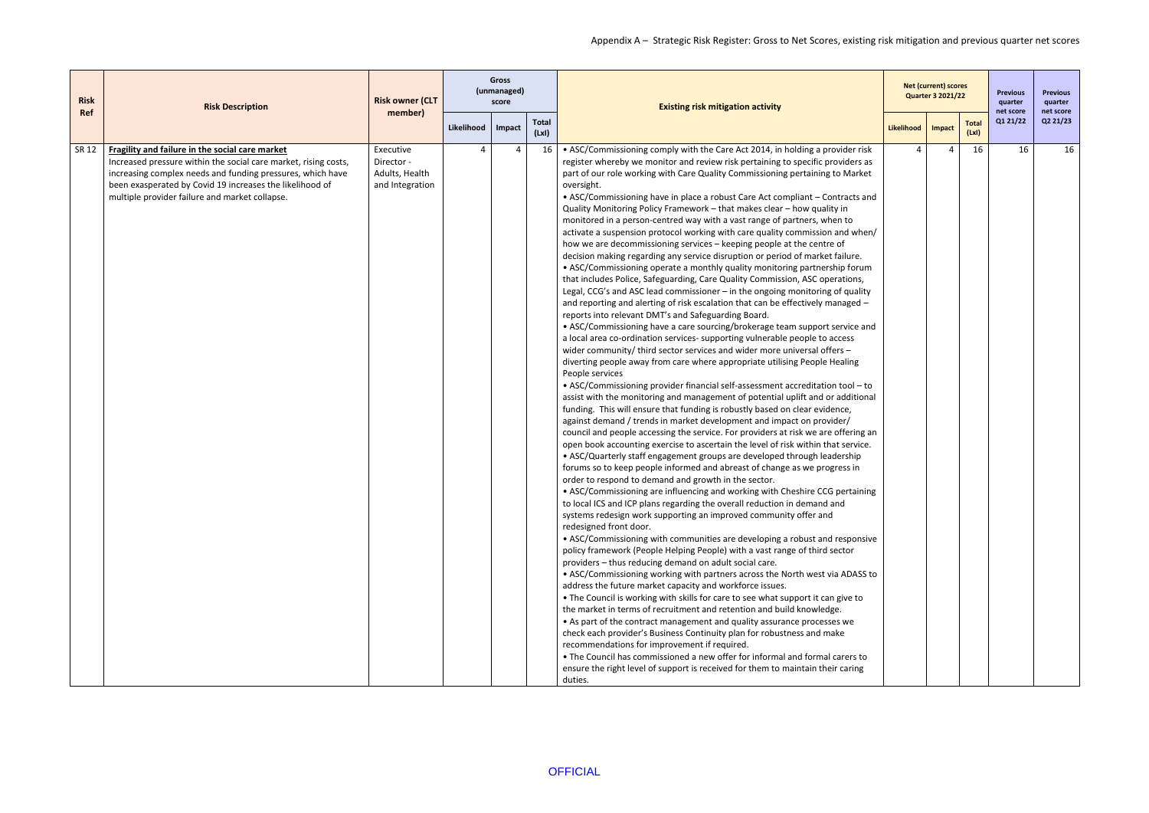| <b>Risk</b> | <b>Risk Description</b>                                                                                                                                                                                                                                                                        | <b>Risk owner (CLT</b>                                       |            | <b>Gross</b><br>(unmanaged)<br>score |                       | <b>Existing risk mitigation activity</b>                                                                                                                                                                                                                                                                                                                                                                                                                                                                                                                                                                                                                                                                                                                                                                                                                                                                                                                                                                                                                                                                                                                                                                                                                                                                                                                                                                                                                                                                                                                                                                                                                                                                                                                                                                                                                                                                                                                                                                                                                                                                                                                                                                                                                                                                                                                                                                                                                                                                                                                                                                                                                                                                                                                                                                                                                                                                                                                                                                                                                                                                                                                                                                                                                                                                                                                                                     |            | <b>Net (current) scores</b><br><b>Quarter 3 2021/22</b> |                      | <b>Previous</b><br>quarter<br>net score | <b>Previous</b><br>quarter<br>net score |
|-------------|------------------------------------------------------------------------------------------------------------------------------------------------------------------------------------------------------------------------------------------------------------------------------------------------|--------------------------------------------------------------|------------|--------------------------------------|-----------------------|----------------------------------------------------------------------------------------------------------------------------------------------------------------------------------------------------------------------------------------------------------------------------------------------------------------------------------------------------------------------------------------------------------------------------------------------------------------------------------------------------------------------------------------------------------------------------------------------------------------------------------------------------------------------------------------------------------------------------------------------------------------------------------------------------------------------------------------------------------------------------------------------------------------------------------------------------------------------------------------------------------------------------------------------------------------------------------------------------------------------------------------------------------------------------------------------------------------------------------------------------------------------------------------------------------------------------------------------------------------------------------------------------------------------------------------------------------------------------------------------------------------------------------------------------------------------------------------------------------------------------------------------------------------------------------------------------------------------------------------------------------------------------------------------------------------------------------------------------------------------------------------------------------------------------------------------------------------------------------------------------------------------------------------------------------------------------------------------------------------------------------------------------------------------------------------------------------------------------------------------------------------------------------------------------------------------------------------------------------------------------------------------------------------------------------------------------------------------------------------------------------------------------------------------------------------------------------------------------------------------------------------------------------------------------------------------------------------------------------------------------------------------------------------------------------------------------------------------------------------------------------------------------------------------------------------------------------------------------------------------------------------------------------------------------------------------------------------------------------------------------------------------------------------------------------------------------------------------------------------------------------------------------------------------------------------------------------------------------------------------------------------------|------------|---------------------------------------------------------|----------------------|-----------------------------------------|-----------------------------------------|
| Ref         |                                                                                                                                                                                                                                                                                                | member)                                                      | Likelihood | Impact                               | <b>Total</b><br>(LxI) |                                                                                                                                                                                                                                                                                                                                                                                                                                                                                                                                                                                                                                                                                                                                                                                                                                                                                                                                                                                                                                                                                                                                                                                                                                                                                                                                                                                                                                                                                                                                                                                                                                                                                                                                                                                                                                                                                                                                                                                                                                                                                                                                                                                                                                                                                                                                                                                                                                                                                                                                                                                                                                                                                                                                                                                                                                                                                                                                                                                                                                                                                                                                                                                                                                                                                                                                                                                              | Likelihood | Impact                                                  | <b>Total</b><br>(Lx) | Q1 21/22                                | Q2 21/23                                |
| SR 12       | Fragility and failure in the social care market<br>Increased pressure within the social care market, rising costs,<br>increasing complex needs and funding pressures, which have<br>been exasperated by Covid 19 increases the likelihood of<br>multiple provider failure and market collapse. | Executive<br>Director -<br>Adults, Health<br>and Integration |            |                                      | 16                    | • ASC/Commissioning comply with the Care Act 2014, in holding a provider risk<br>register whereby we monitor and review risk pertaining to specific providers as<br>part of our role working with Care Quality Commissioning pertaining to Market<br>oversight.<br>• ASC/Commissioning have in place a robust Care Act compliant - Contracts and<br>Quality Monitoring Policy Framework - that makes clear - how quality in<br>monitored in a person-centred way with a vast range of partners, when to<br>activate a suspension protocol working with care quality commission and when/<br>how we are decommissioning services - keeping people at the centre of<br>decision making regarding any service disruption or period of market failure.<br>• ASC/Commissioning operate a monthly quality monitoring partnership forum<br>that includes Police, Safeguarding, Care Quality Commission, ASC operations,<br>Legal, CCG's and ASC lead commissioner - in the ongoing monitoring of quality<br>and reporting and alerting of risk escalation that can be effectively managed -<br>reports into relevant DMT's and Safeguarding Board.<br>• ASC/Commissioning have a care sourcing/brokerage team support service and<br>a local area co-ordination services- supporting vulnerable people to access<br>wider community/ third sector services and wider more universal offers -<br>diverting people away from care where appropriate utilising People Healing<br>People services<br>• ASC/Commissioning provider financial self-assessment accreditation tool - to<br>assist with the monitoring and management of potential uplift and or additional<br>funding. This will ensure that funding is robustly based on clear evidence,<br>against demand / trends in market development and impact on provider/<br>council and people accessing the service. For providers at risk we are offering an<br>open book accounting exercise to ascertain the level of risk within that service.<br>• ASC/Quarterly staff engagement groups are developed through leadership<br>forums so to keep people informed and abreast of change as we progress in<br>order to respond to demand and growth in the sector.<br>• ASC/Commissioning are influencing and working with Cheshire CCG pertaining<br>to local ICS and ICP plans regarding the overall reduction in demand and<br>systems redesign work supporting an improved community offer and<br>redesigned front door.<br>• ASC/Commissioning with communities are developing a robust and responsive<br>policy framework (People Helping People) with a vast range of third sector<br>providers - thus reducing demand on adult social care.<br>• ASC/Commissioning working with partners across the North west via ADASS to<br>address the future market capacity and workforce issues.<br>. The Council is working with skills for care to see what support it can give to<br>the market in terms of recruitment and retention and build knowledge.<br>• As part of the contract management and quality assurance processes we<br>check each provider's Business Continuity plan for robustness and make<br>recommendations for improvement if required.<br>• The Council has commissioned a new offer for informal and formal carers to<br>ensure the right level of support is received for them to maintain their caring<br>duties. |            | Δ                                                       | 16                   | 16                                      | 16                                      |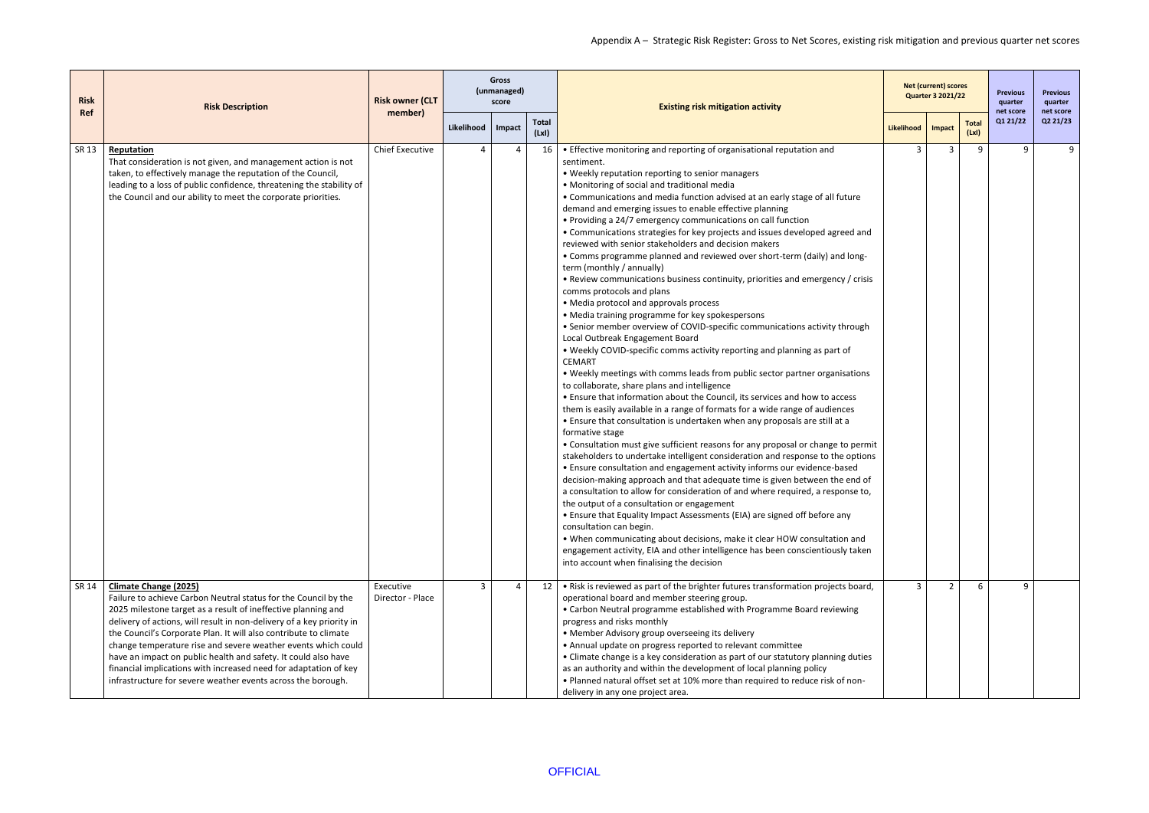| <b>Risk</b><br><b>Ref</b> | <b>Risk Description</b>                                                                                                                                                                                                                                                                                                                                                                                                                                                                                                                                                              | <b>Risk owner (CLT</b><br>member) |                         | <b>Gross</b><br>(unmanaged)<br>score |                      | <b>Existing risk mitigation activity</b>                                                                                                                                                                                                                                                                                                                                                                                                                                                                                                                                                                                                                                                                                                                                                                                                                                                                                                                                                                                                                                                                                                                                                                                                                                                                                                                                                                                                                                                                                                                                                                                                                                                                                                                                                                                                                                                                                                                                                                                                                                                                                                                                                                                                                            |            | <b>Net (current) scores</b><br><b>Quarter 3 2021/22</b> |                      | <b>Previous</b><br>quarter<br>net score | <b>Previous</b><br>quarter<br>net score |
|---------------------------|--------------------------------------------------------------------------------------------------------------------------------------------------------------------------------------------------------------------------------------------------------------------------------------------------------------------------------------------------------------------------------------------------------------------------------------------------------------------------------------------------------------------------------------------------------------------------------------|-----------------------------------|-------------------------|--------------------------------------|----------------------|---------------------------------------------------------------------------------------------------------------------------------------------------------------------------------------------------------------------------------------------------------------------------------------------------------------------------------------------------------------------------------------------------------------------------------------------------------------------------------------------------------------------------------------------------------------------------------------------------------------------------------------------------------------------------------------------------------------------------------------------------------------------------------------------------------------------------------------------------------------------------------------------------------------------------------------------------------------------------------------------------------------------------------------------------------------------------------------------------------------------------------------------------------------------------------------------------------------------------------------------------------------------------------------------------------------------------------------------------------------------------------------------------------------------------------------------------------------------------------------------------------------------------------------------------------------------------------------------------------------------------------------------------------------------------------------------------------------------------------------------------------------------------------------------------------------------------------------------------------------------------------------------------------------------------------------------------------------------------------------------------------------------------------------------------------------------------------------------------------------------------------------------------------------------------------------------------------------------------------------------------------------------|------------|---------------------------------------------------------|----------------------|-----------------------------------------|-----------------------------------------|
|                           |                                                                                                                                                                                                                                                                                                                                                                                                                                                                                                                                                                                      |                                   | Likelihood              | Impact                               | <b>Total</b><br>(Lx) |                                                                                                                                                                                                                                                                                                                                                                                                                                                                                                                                                                                                                                                                                                                                                                                                                                                                                                                                                                                                                                                                                                                                                                                                                                                                                                                                                                                                                                                                                                                                                                                                                                                                                                                                                                                                                                                                                                                                                                                                                                                                                                                                                                                                                                                                     | Likelihood | Impact                                                  | <b>Total</b><br>(Lx) | Q1 21/22                                | Q2 21/23                                |
| SR 13                     | Reputation<br>That consideration is not given, and management action is not<br>taken, to effectively manage the reputation of the Council,<br>leading to a loss of public confidence, threatening the stability of<br>the Council and our ability to meet the corporate priorities.                                                                                                                                                                                                                                                                                                  | <b>Chief Executive</b>            | Δ                       | $\overline{a}$                       | 16                   | • Effective monitoring and reporting of organisational reputation and<br>sentiment.<br>• Weekly reputation reporting to senior managers<br>• Monitoring of social and traditional media<br>• Communications and media function advised at an early stage of all future<br>demand and emerging issues to enable effective planning<br>• Providing a 24/7 emergency communications on call function<br>• Communications strategies for key projects and issues developed agreed and<br>reviewed with senior stakeholders and decision makers<br>• Comms programme planned and reviewed over short-term (daily) and long-<br>term (monthly / annually)<br>• Review communications business continuity, priorities and emergency / crisis<br>comms protocols and plans<br>• Media protocol and approvals process<br>• Media training programme for key spokespersons<br>• Senior member overview of COVID-specific communications activity through<br>Local Outbreak Engagement Board<br>. Weekly COVID-specific comms activity reporting and planning as part of<br><b>CEMART</b><br>. Weekly meetings with comms leads from public sector partner organisations<br>to collaborate, share plans and intelligence<br>• Ensure that information about the Council, its services and how to access<br>them is easily available in a range of formats for a wide range of audiences<br>• Ensure that consultation is undertaken when any proposals are still at a<br>formative stage<br>• Consultation must give sufficient reasons for any proposal or change to permit<br>stakeholders to undertake intelligent consideration and response to the options<br>• Ensure consultation and engagement activity informs our evidence-based<br>decision-making approach and that adequate time is given between the end of<br>a consultation to allow for consideration of and where required, a response to,<br>the output of a consultation or engagement<br>• Ensure that Equality Impact Assessments (EIA) are signed off before any<br>consultation can begin.<br>. When communicating about decisions, make it clear HOW consultation and<br>engagement activity, EIA and other intelligence has been conscientiously taken<br>into account when finalising the decision | 3          | $\overline{3}$                                          | 9                    | 9                                       | 9                                       |
| SR 14                     | <b>Climate Change (2025)</b><br>Failure to achieve Carbon Neutral status for the Council by the<br>2025 milestone target as a result of ineffective planning and<br>delivery of actions, will result in non-delivery of a key priority in<br>the Council's Corporate Plan. It will also contribute to climate<br>change temperature rise and severe weather events which could<br>have an impact on public health and safety. It could also have<br>financial implications with increased need for adaptation of key<br>infrastructure for severe weather events across the borough. | Executive<br>Director - Place     | $\overline{\mathbf{3}}$ | $\overline{a}$                       | 12                   | • Risk is reviewed as part of the brighter futures transformation projects board,<br>operational board and member steering group.<br>• Carbon Neutral programme established with Programme Board reviewing<br>progress and risks monthly<br>• Member Advisory group overseeing its delivery<br>• Annual update on progress reported to relevant committee<br>• Climate change is a key consideration as part of our statutory planning duties<br>as an authority and within the development of local planning policy<br>• Planned natural offset set at 10% more than required to reduce risk of non-<br>delivery in any one project area.                                                                                                                                                                                                                                                                                                                                                                                                                                                                                                                                                                                                                                                                                                                                                                                                                                                                                                                                                                                                                                                                                                                                                                                                                                                                                                                                                                                                                                                                                                                                                                                                                          | 3          | $\overline{2}$                                          | 6                    | 9                                       |                                         |